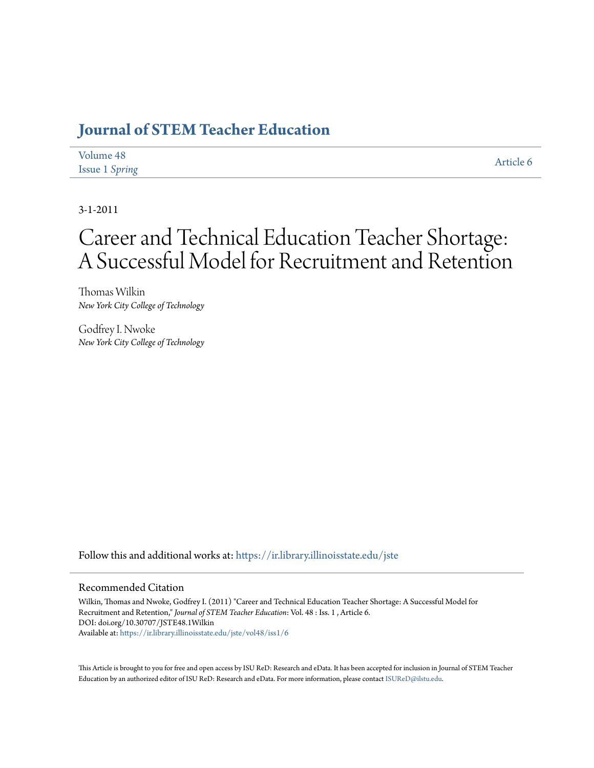# **[Journal of STEM Teacher Education](https://ir.library.illinoisstate.edu/jste?utm_source=ir.library.illinoisstate.edu%2Fjste%2Fvol48%2Fiss1%2F6&utm_medium=PDF&utm_campaign=PDFCoverPages)**

| Volume 48             | Article 6 |
|-----------------------|-----------|
| <b>Issue 1 Spring</b> |           |

3-1-2011

# Career and Technical Education Teacher Shortage: A Successful Model for Recruitment and Retention

Thomas Wilkin *New York City College of Technology*

Godfrey I. Nwoke *New York City College of Technology*

Follow this and additional works at: [https://ir.library.illinoisstate.edu/jste](https://ir.library.illinoisstate.edu/jste?utm_source=ir.library.illinoisstate.edu%2Fjste%2Fvol48%2Fiss1%2F6&utm_medium=PDF&utm_campaign=PDFCoverPages)

#### Recommended Citation

Wilkin, Thomas and Nwoke, Godfrey I. (2011) "Career and Technical Education Teacher Shortage: A Successful Model for Recruitment and Retention," *Journal of STEM Teacher Education*: Vol. 48 : Iss. 1 , Article 6. DOI: doi.org/10.30707/JSTE48.1Wilkin Available at: [https://ir.library.illinoisstate.edu/jste/vol48/iss1/6](https://ir.library.illinoisstate.edu/jste/vol48/iss1/6?utm_source=ir.library.illinoisstate.edu%2Fjste%2Fvol48%2Fiss1%2F6&utm_medium=PDF&utm_campaign=PDFCoverPages)

This Article is brought to you for free and open access by ISU ReD: Research and eData. It has been accepted for inclusion in Journal of STEM Teacher Education by an authorized editor of ISU ReD: Research and eData. For more information, please contact [ISUReD@ilstu.edu.](mailto:ISUReD@ilstu.edu)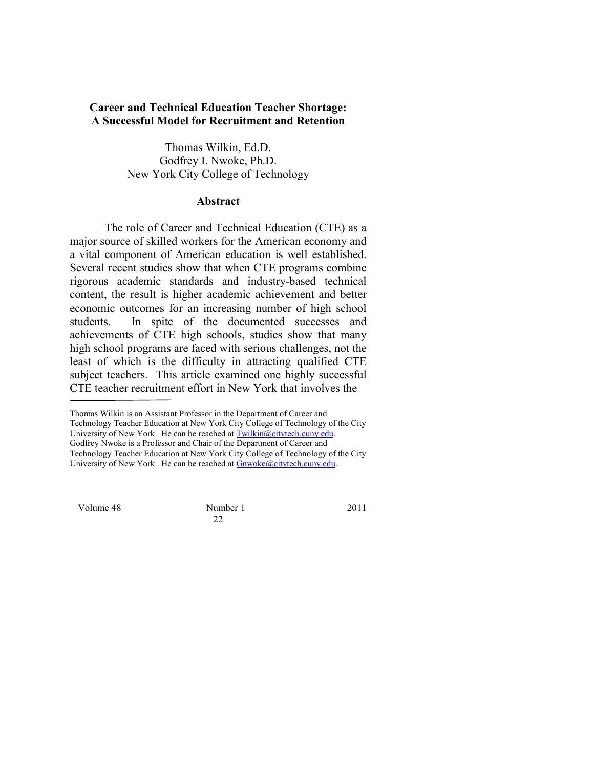# **Career and Technical Education Teacher Shortage: A Successful Model for Recruitment and Retention**

Thomas Wilkin, Ed.D. Godfrey I. Nwoke, Ph.D. New York City College of Technology

#### **Abstract**

The role of Career and Technical Education (CTE) as a major source of skilled workers for the American economy and a vital component of American education is well established. Several recent studies show that when CTE programs combine rigorous academic standards and industry-based technical content, the result is higher academic achievement and better economic outcomes for an increasing number of high school students. In spite of the documented successes and achievements of CTE high schools, studies show that many high school programs are faced with serious challenges, not the least of which is the difficulty in attracting qualified CTE subject teachers. This article examined one highly successful CTE teacher recruitment effort in New York that involves the

Technology Teacher Education at New York City College of Technology of the City University of New York. He can be reached a[t Twilkin@citytech.cuny.edu.](mailto:Twilkin@citytech.cuny.edu) Godfrey Nwoke is a Professor and Chair of the Department of Career and

Volume 48 Number 1 2011

22

Thomas Wilkin is an Assistant Professor in the Department of Career and

Technology Teacher Education at New York City College of Technology of the City University of New York. He can be reached a[t Gnwoke@citytech.cuny.edu.](mailto:Gnwoke@citytech.cuny.edu)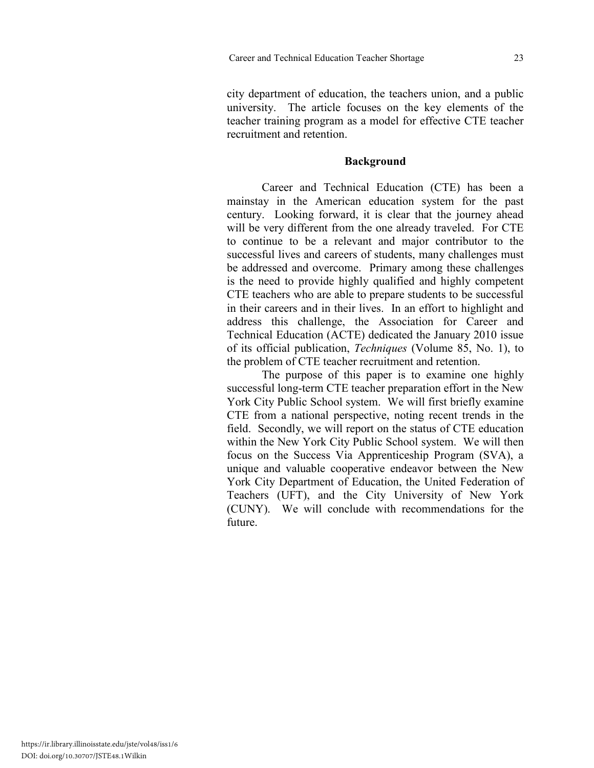city department of education, the teachers union, and a public university. The article focuses on the key elements of the teacher training program as a model for effective CTE teacher recruitment and retention.

## **Background**

Career and Technical Education (CTE) has been a mainstay in the American education system for the past century. Looking forward, it is clear that the journey ahead will be very different from the one already traveled. For CTE to continue to be a relevant and major contributor to the successful lives and careers of students, many challenges must be addressed and overcome. Primary among these challenges is the need to provide highly qualified and highly competent CTE teachers who are able to prepare students to be successful in their careers and in their lives. In an effort to highlight and address this challenge, the Association for Career and Technical Education (ACTE) dedicated the January 2010 issue of its official publication, *Techniques* (Volume 85, No. 1), to the problem of CTE teacher recruitment and retention.

The purpose of this paper is to examine one highly successful long-term CTE teacher preparation effort in the New York City Public School system. We will first briefly examine CTE from a national perspective, noting recent trends in the field. Secondly, we will report on the status of CTE education within the New York City Public School system. We will then focus on the Success Via Apprenticeship Program (SVA), a unique and valuable cooperative endeavor between the New York City Department of Education, the United Federation of Teachers (UFT), and the City University of New York (CUNY). We will conclude with recommendations for the future.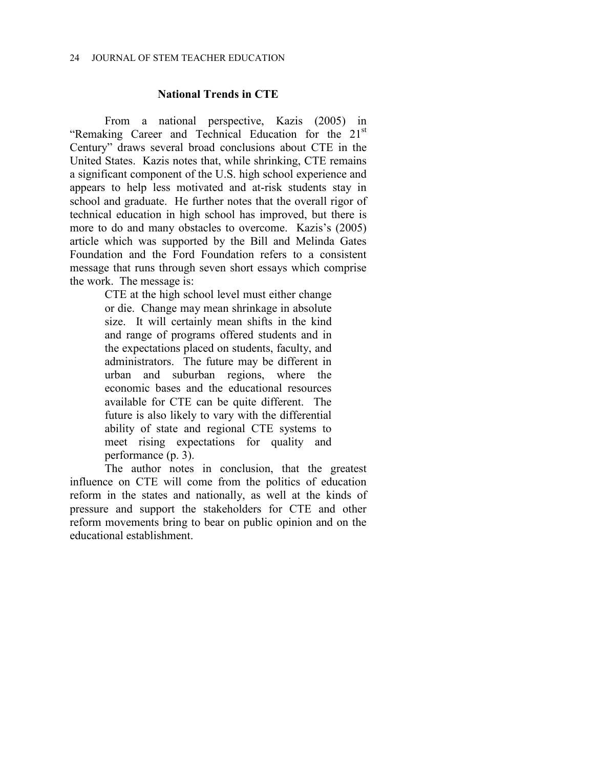# **National Trends in CTE**

From a national perspective, Kazis (2005) in "Remaking Career and Technical Education for the 21<sup>st</sup> Century" draws several broad conclusions about CTE in the United States. Kazis notes that, while shrinking, CTE remains a significant component of the U.S. high school experience and appears to help less motivated and at-risk students stay in school and graduate. He further notes that the overall rigor of technical education in high school has improved, but there is more to do and many obstacles to overcome. Kazis's (2005) article which was supported by the Bill and Melinda Gates Foundation and the Ford Foundation refers to a consistent message that runs through seven short essays which comprise the work. The message is:

> CTE at the high school level must either change or die. Change may mean shrinkage in absolute size. It will certainly mean shifts in the kind and range of programs offered students and in the expectations placed on students, faculty, and administrators. The future may be different in urban and suburban regions, where the economic bases and the educational resources available for CTE can be quite different. The future is also likely to vary with the differential ability of state and regional CTE systems to meet rising expectations for quality and performance (p. 3).

The author notes in conclusion, that the greatest influence on CTE will come from the politics of education reform in the states and nationally, as well at the kinds of pressure and support the stakeholders for CTE and other reform movements bring to bear on public opinion and on the educational establishment.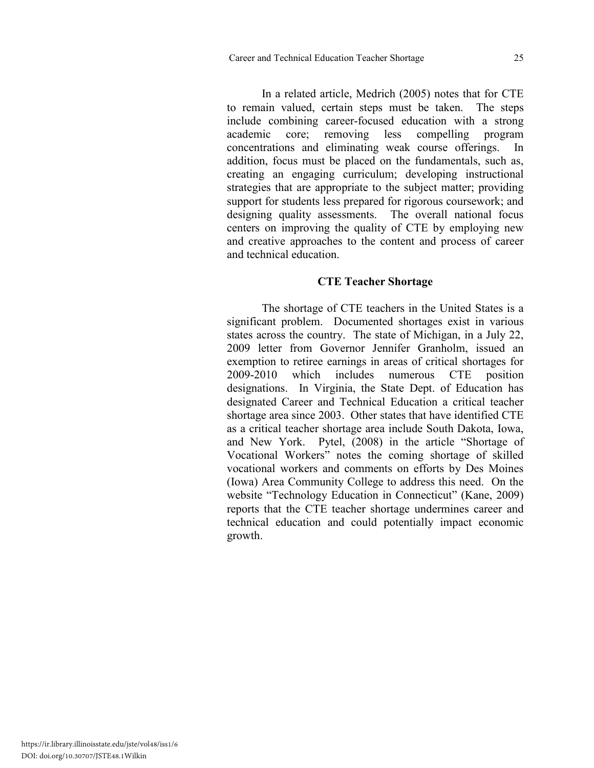and technical education.

In a related article, Medrich (2005) notes that for CTE to remain valued, certain steps must be taken. The steps include combining career-focused education with a strong academic core; removing less compelling program concentrations and eliminating weak course offerings. In addition, focus must be placed on the fundamentals, such as, creating an engaging curriculum; developing instructional strategies that are appropriate to the subject matter; providing support for students less prepared for rigorous coursework; and designing quality assessments. The overall national focus centers on improving the quality of CTE by employing new

# **CTE Teacher Shortage**

and creative approaches to the content and process of career

The shortage of CTE teachers in the United States is a significant problem. Documented shortages exist in various states across the country. The state of Michigan, in a July 22, 2009 letter from Governor Jennifer Granholm, issued an exemption to retiree earnings in areas of critical shortages for 2009-2010 which includes numerous CTE position designations. In Virginia, the State Dept. of Education has designated Career and Technical Education a critical teacher shortage area since 2003. Other states that have identified CTE as a critical teacher shortage area include South Dakota, Iowa, and New York. Pytel, (2008) in the article "Shortage of Vocational Workers" notes the coming shortage of skilled vocational workers and comments on efforts by Des Moines (Iowa) Area Community College to address this need. On the website "Technology Education in Connecticut" (Kane, 2009) reports that the CTE teacher shortage undermines career and technical education and could potentially impact economic growth.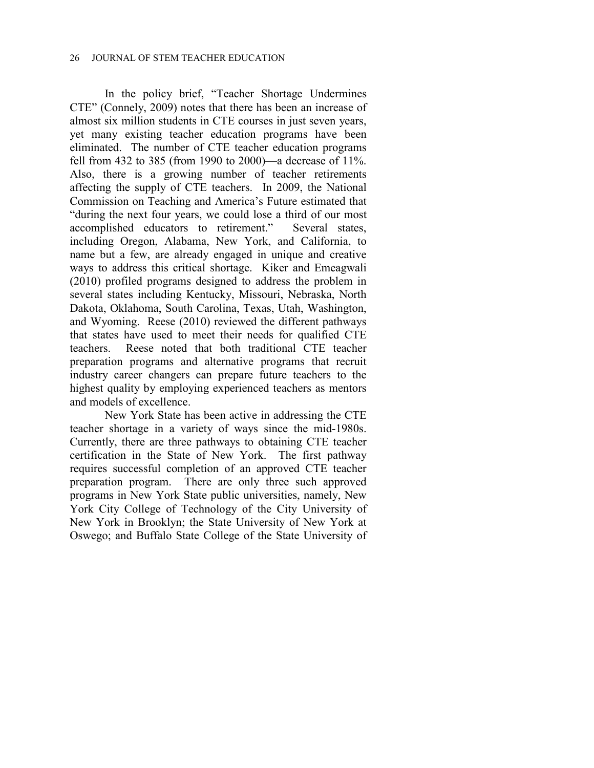In the policy brief, "Teacher Shortage Undermines CTE" (Connely, 2009) notes that there has been an increase of almost six million students in CTE courses in just seven years, yet many existing teacher education programs have been eliminated. The number of CTE teacher education programs fell from 432 to 385 (from 1990 to 2000)—a decrease of 11%. Also, there is a growing number of teacher retirements affecting the supply of CTE teachers. In 2009, the National Commission on Teaching and America's Future estimated that "during the next four years, we could lose a third of our most accomplished educators to retirement." Several states, including Oregon, Alabama, New York, and California, to name but a few, are already engaged in unique and creative ways to address this critical shortage. Kiker and Emeagwali (2010) profiled programs designed to address the problem in several states including Kentucky, Missouri, Nebraska, North Dakota, Oklahoma, South Carolina, Texas, Utah, Washington, and Wyoming. Reese (2010) reviewed the different pathways that states have used to meet their needs for qualified CTE teachers. Reese noted that both traditional CTE teacher preparation programs and alternative programs that recruit industry career changers can prepare future teachers to the highest quality by employing experienced teachers as mentors and models of excellence.

New York State has been active in addressing the CTE teacher shortage in a variety of ways since the mid-1980s. Currently, there are three pathways to obtaining CTE teacher certification in the State of New York. The first pathway requires successful completion of an approved CTE teacher preparation program. There are only three such approved programs in New York State public universities, namely, New York City College of Technology of the City University of New York in Brooklyn; the State University of New York at Oswego; and Buffalo State College of the State University of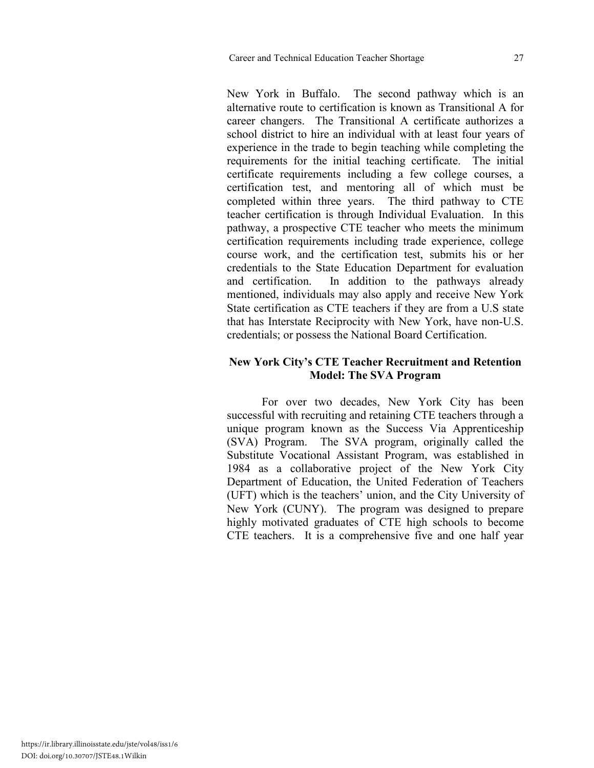New York in Buffalo. The second pathway which is an alternative route to certification is known as Transitional A for career changers. The Transitional A certificate authorizes a school district to hire an individual with at least four years of experience in the trade to begin teaching while completing the requirements for the initial teaching certificate. The initial certificate requirements including a few college courses, a certification test, and mentoring all of which must be completed within three years. The third pathway to CTE teacher certification is through Individual Evaluation. In this pathway, a prospective CTE teacher who meets the minimum certification requirements including trade experience, college course work, and the certification test, submits his or her credentials to the State Education Department for evaluation and certification. In addition to the pathways already mentioned, individuals may also apply and receive New York State certification as CTE teachers if they are from a U.S state that has Interstate Reciprocity with New York, have non-U.S.

# **New York City's CTE Teacher Recruitment and Retention Model: The SVA Program**

credentials; or possess the National Board Certification.

For over two decades, New York City has been successful with recruiting and retaining CTE teachers through a unique program known as the Success Via Apprenticeship (SVA) Program. The SVA program, originally called the Substitute Vocational Assistant Program, was established in 1984 as a collaborative project of the New York City Department of Education, the United Federation of Teachers (UFT) which is the teachers' union, and the City University of New York (CUNY). The program was designed to prepare highly motivated graduates of CTE high schools to become CTE teachers. It is a comprehensive five and one half year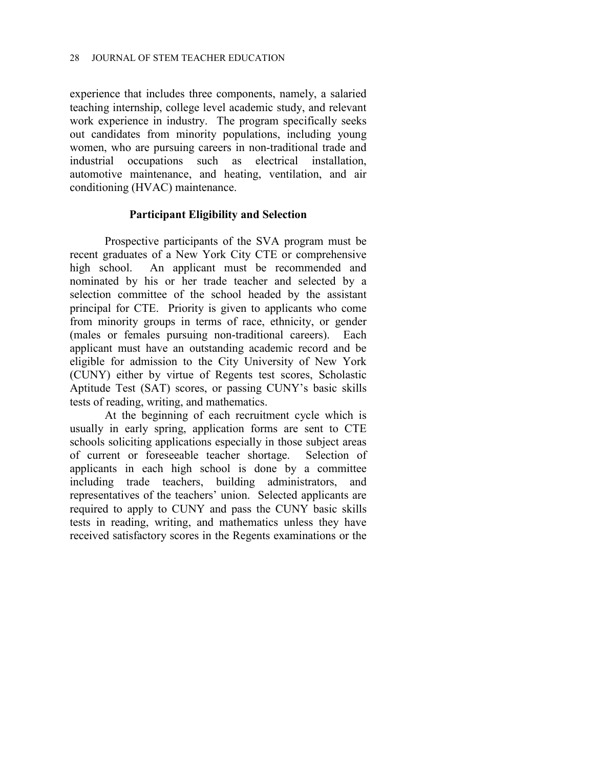experience that includes three components, namely, a salaried teaching internship, college level academic study, and relevant work experience in industry. The program specifically seeks out candidates from minority populations, including young women, who are pursuing careers in non-traditional trade and industrial occupations such as electrical installation, automotive maintenance, and heating, ventilation, and air conditioning (HVAC) maintenance.

# **Participant Eligibility and Selection**

Prospective participants of the SVA program must be recent graduates of a New York City CTE or comprehensive high school. An applicant must be recommended and nominated by his or her trade teacher and selected by a selection committee of the school headed by the assistant principal for CTE. Priority is given to applicants who come from minority groups in terms of race, ethnicity, or gender (males or females pursuing non-traditional careers). Each applicant must have an outstanding academic record and be eligible for admission to the City University of New York (CUNY) either by virtue of Regents test scores, Scholastic Aptitude Test (SAT) scores, or passing CUNY's basic skills tests of reading, writing, and mathematics.

At the beginning of each recruitment cycle which is usually in early spring, application forms are sent to CTE schools soliciting applications especially in those subject areas of current or foreseeable teacher shortage. Selection of applicants in each high school is done by a committee including trade teachers, building administrators, and representatives of the teachers' union. Selected applicants are required to apply to CUNY and pass the CUNY basic skills tests in reading, writing, and mathematics unless they have received satisfactory scores in the Regents examinations or the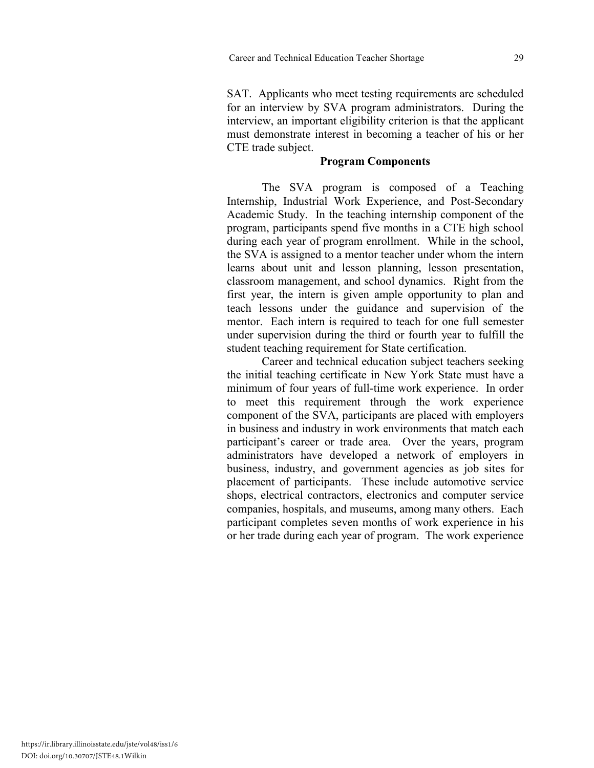SAT. Applicants who meet testing requirements are scheduled for an interview by SVA program administrators. During the interview, an important eligibility criterion is that the applicant must demonstrate interest in becoming a teacher of his or her CTE trade subject.

# **Program Components**

The SVA program is composed of a Teaching Internship, Industrial Work Experience, and Post-Secondary Academic Study. In the teaching internship component of the program, participants spend five months in a CTE high school during each year of program enrollment. While in the school, the SVA is assigned to a mentor teacher under whom the intern learns about unit and lesson planning, lesson presentation, classroom management, and school dynamics. Right from the first year, the intern is given ample opportunity to plan and teach lessons under the guidance and supervision of the mentor. Each intern is required to teach for one full semester under supervision during the third or fourth year to fulfill the student teaching requirement for State certification.

Career and technical education subject teachers seeking the initial teaching certificate in New York State must have a minimum of four years of full-time work experience. In order to meet this requirement through the work experience component of the SVA, participants are placed with employers in business and industry in work environments that match each participant's career or trade area. Over the years, program administrators have developed a network of employers in business, industry, and government agencies as job sites for placement of participants. These include automotive service shops, electrical contractors, electronics and computer service companies, hospitals, and museums, among many others. Each participant completes seven months of work experience in his or her trade during each year of program. The work experience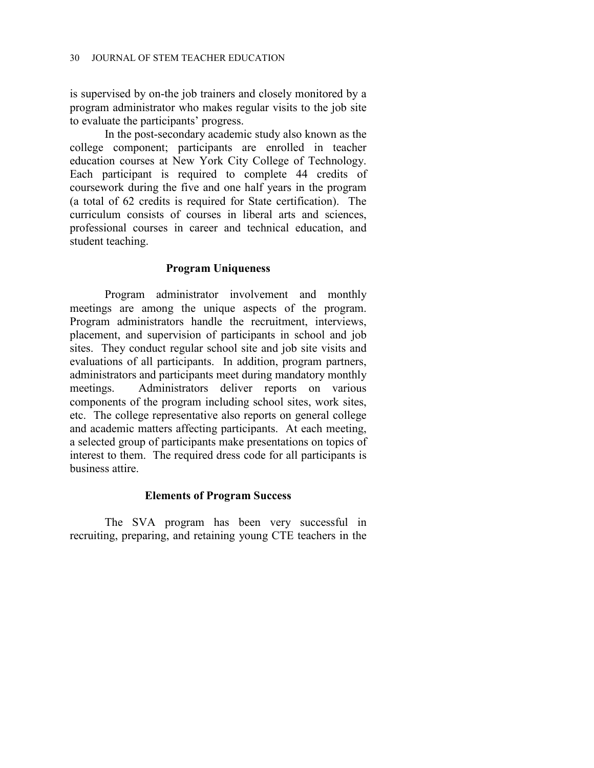is supervised by on-the job trainers and closely monitored by a program administrator who makes regular visits to the job site to evaluate the participants' progress.

In the post-secondary academic study also known as the college component; participants are enrolled in teacher education courses at New York City College of Technology. Each participant is required to complete 44 credits of coursework during the five and one half years in the program (a total of 62 credits is required for State certification). The curriculum consists of courses in liberal arts and sciences, professional courses in career and technical education, and student teaching.

#### **Program Uniqueness**

Program administrator involvement and monthly meetings are among the unique aspects of the program. Program administrators handle the recruitment, interviews, placement, and supervision of participants in school and job sites. They conduct regular school site and job site visits and evaluations of all participants. In addition, program partners, administrators and participants meet during mandatory monthly meetings. Administrators deliver reports on various components of the program including school sites, work sites, etc. The college representative also reports on general college and academic matters affecting participants. At each meeting, a selected group of participants make presentations on topics of interest to them. The required dress code for all participants is business attire.

#### **Elements of Program Success**

The SVA program has been very successful in recruiting, preparing, and retaining young CTE teachers in the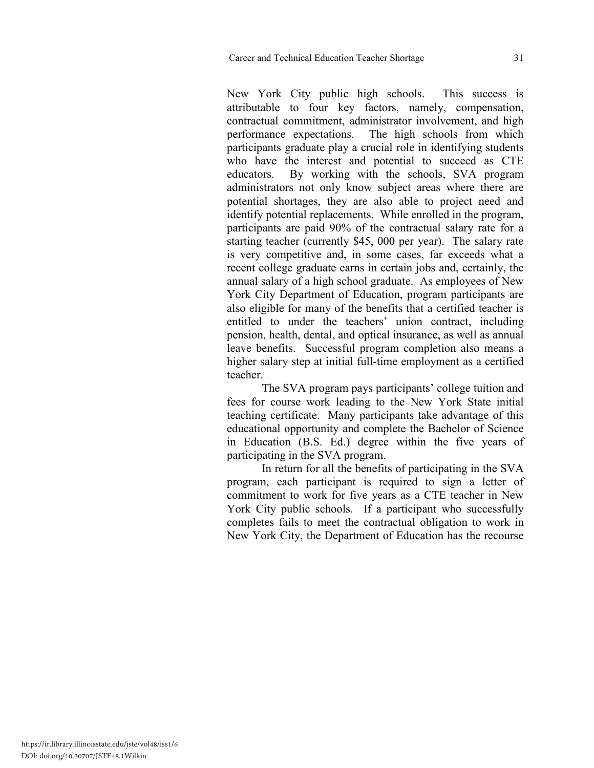New York City public high schools. This success is attributable to four key factors, namely, compensation, contractual commitment, administrator involvement, and high performance expectations. The high schools from which participants graduate play a crucial role in identifying students who have the interest and potential to succeed as CTE educators. By working with the schools, SVA program administrators not only know subject areas where there are potential shortages, they are also able to project need and identify potential replacements. While enrolled in the program, participants are paid 90% of the contractual salary rate for a starting teacher (currently \$45, 000 per year). The salary rate is very competitive and, in some cases, far exceeds what a recent college graduate earns in certain jobs and, certainly, the annual salary of a high school graduate. As employees of New York City Department of Education, program participants are also eligible for many of the benefits that a certified teacher is entitled to under the teachers' union contract, including pension, health, dental, and optical insurance, as well as annual leave benefits. Successful program completion also means a higher salary step at initial full-time employment as a certified teacher.

The SVA program pays participants' college tuition and fees for course work leading to the New York State initial teaching certificate. Many participants take advantage of this educational opportunity and complete the Bachelor of Science in Education (B.S. Ed.) degree within the five years of participating in the SVA program.

In return for all the benefits of participating in the SVA program, each participant is required to sign a letter of commitment to work for five years as a CTE teacher in New York City public schools. If a participant who successfully completes fails to meet the contractual obligation to work in New York City, the Department of Education has the recourse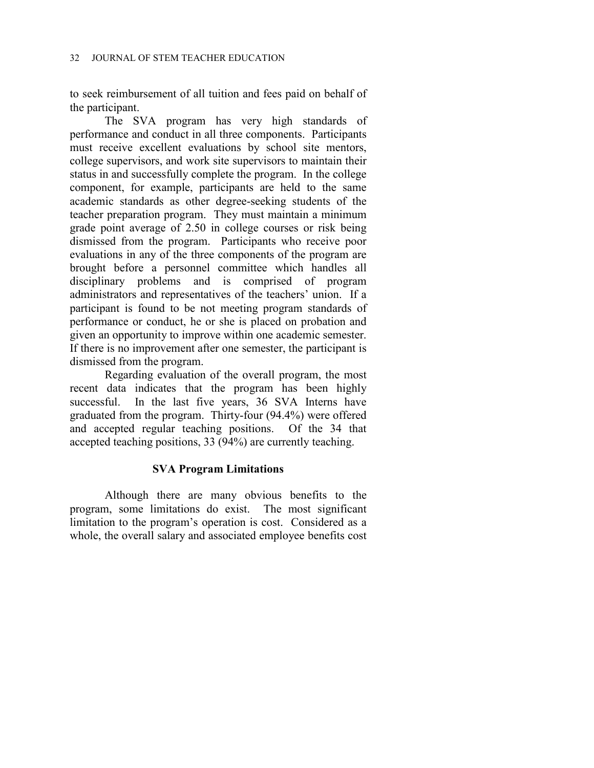to seek reimbursement of all tuition and fees paid on behalf of the participant.

The SVA program has very high standards of performance and conduct in all three components. Participants must receive excellent evaluations by school site mentors, college supervisors, and work site supervisors to maintain their status in and successfully complete the program. In the college component, for example, participants are held to the same academic standards as other degree-seeking students of the teacher preparation program. They must maintain a minimum grade point average of 2.50 in college courses or risk being dismissed from the program. Participants who receive poor evaluations in any of the three components of the program are brought before a personnel committee which handles all disciplinary problems and is comprised of program administrators and representatives of the teachers' union. If a participant is found to be not meeting program standards of performance or conduct, he or she is placed on probation and given an opportunity to improve within one academic semester. If there is no improvement after one semester, the participant is dismissed from the program.

Regarding evaluation of the overall program, the most recent data indicates that the program has been highly successful. In the last five years, 36 SVA Interns have graduated from the program. Thirty-four (94.4%) were offered and accepted regular teaching positions. Of the 34 that accepted teaching positions, 33 (94%) are currently teaching.

# **SVA Program Limitations**

Although there are many obvious benefits to the program, some limitations do exist. The most significant limitation to the program's operation is cost. Considered as a whole, the overall salary and associated employee benefits cost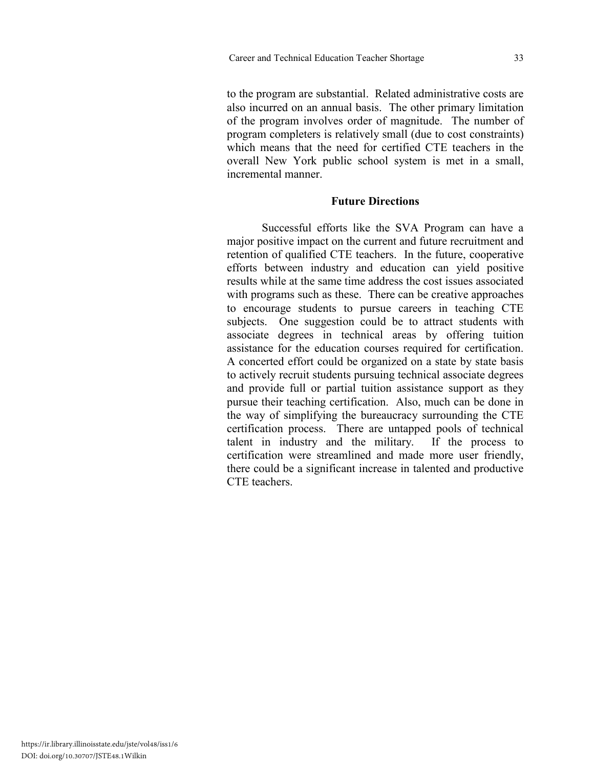to the program are substantial. Related administrative costs are also incurred on an annual basis. The other primary limitation of the program involves order of magnitude. The number of program completers is relatively small (due to cost constraints) which means that the need for certified CTE teachers in the overall New York public school system is met in a small, incremental manner.

#### **Future Directions**

Successful efforts like the SVA Program can have a major positive impact on the current and future recruitment and retention of qualified CTE teachers. In the future, cooperative efforts between industry and education can yield positive results while at the same time address the cost issues associated with programs such as these. There can be creative approaches to encourage students to pursue careers in teaching CTE subjects. One suggestion could be to attract students with associate degrees in technical areas by offering tuition assistance for the education courses required for certification. A concerted effort could be organized on a state by state basis to actively recruit students pursuing technical associate degrees and provide full or partial tuition assistance support as they pursue their teaching certification. Also, much can be done in the way of simplifying the bureaucracy surrounding the CTE certification process. There are untapped pools of technical talent in industry and the military. If the process to certification were streamlined and made more user friendly, there could be a significant increase in talented and productive CTE teachers.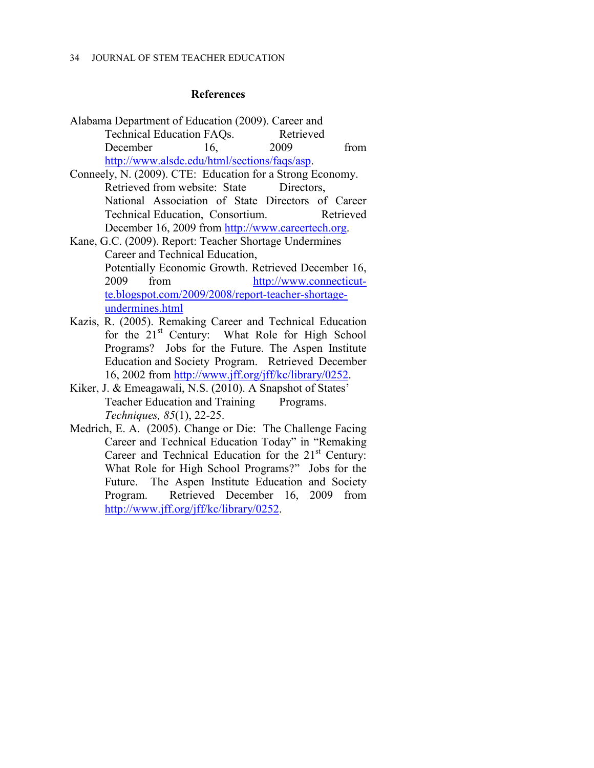# **References**

| Alabama Department of Education (2009). Career and          |                                                           |     |                         |           |  |
|-------------------------------------------------------------|-----------------------------------------------------------|-----|-------------------------|-----------|--|
|                                                             | Technical Education FAQs. Retrieved                       |     |                         |           |  |
|                                                             | December                                                  | 16, | 2009                    | from      |  |
|                                                             | http://www.alsde.edu/html/sections/faqs/asp.              |     |                         |           |  |
| Conneely, N. (2009). CTE: Education for a Strong Economy.   |                                                           |     |                         |           |  |
|                                                             | Retrieved from website: State Directors,                  |     |                         |           |  |
|                                                             | National Association of State Directors of Career         |     |                         |           |  |
|                                                             | Technical Education, Consortium.                          |     |                         | Retrieved |  |
|                                                             | December 16, 2009 from http://www.careertech.org.         |     |                         |           |  |
| Kane, G.C. (2009). Report: Teacher Shortage Undermines      |                                                           |     |                         |           |  |
| Career and Technical Education,                             |                                                           |     |                         |           |  |
|                                                             | Potentially Economic Growth. Retrieved December 16,       |     |                         |           |  |
|                                                             | from<br>2009                                              |     | http://www.connecticut- |           |  |
|                                                             | te.blogspot.com/2009/2008/report-teacher-shortage-        |     |                         |           |  |
|                                                             | undermines.html                                           |     |                         |           |  |
|                                                             | Kazis, R. (2005). Remaking Career and Technical Education |     |                         |           |  |
| for the 21 <sup>st</sup> Century: What Role for High School |                                                           |     |                         |           |  |
|                                                             | Programs? Jobs for the Future. The Aspen Institute        |     |                         |           |  |
|                                                             | Education and Society Program. Retrieved December         |     |                         |           |  |
|                                                             | 16, 2002 from http://www.jff.org/jff/kc/library/0252.     |     |                         |           |  |
| Kiker, J. & Emeagawali, N.S. (2010). A Snapshot of States'  |                                                           |     |                         |           |  |
|                                                             | Teacher Education and Training Programs.                  |     |                         |           |  |

*Techniques, 85*(1), 22-25. Medrich, E. A. (2005). Change or Die: The Challenge Facing Career and Technical Education Today" in "Remaking

Career and Technical Education for the 21<sup>st</sup> Century: What Role for High School Programs?" Jobs for the Future. The Aspen Institute Education and Society Program. Retrieved December 16, 2009 from [http://www.jff.org/jff/kc/library/0252.](http://www.jff.org/jff/kc/library/0252)